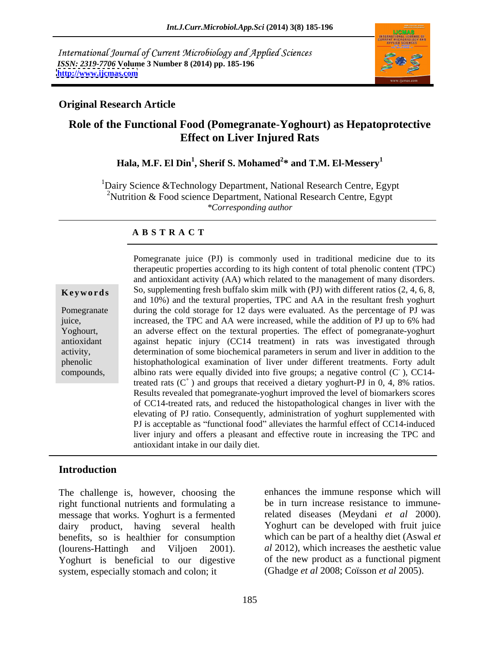International Journal of Current Microbiology and Applied Sciences *ISSN: 2319-7706* **Volume 3 Number 8 (2014) pp. 185-196 <http://www.ijcmas.com>**



### **Original Research Article**

## **Role of the Functional Food (Pomegranate**-**Yoghourt) as Hepatoprotective Effect on Liver Injured Rats**

### **Hala, M.F. El Din<sup>1</sup> , Sherif S. Mohamed<sup>2</sup> \* and T.M. El-Messery<sup>1</sup>**

 $1$ Dairy Science & Technology Department, National Research Centre, Egypt <sup>2</sup>Nutrition & Food science Department, National Research Centre, Egypt *\*Corresponding author* 

### **A B S T R A C T**

**Keywords** So, supplementing fresh buffalo skim milk with (PJ) with different ratios (2, 4, 6, 8, Pomegranate during the cold storage for 12 days were evaluated. As the percentage of PJ was juice, increased, the TPC and AA were increased, while the addition of PJ up to 6% had Yoghourt, an adverse effect on the textural properties. The effect of pomegranate-yoghurt antioxidant against hepatic injury (CC14 treatment) in rats was investigated through activity, determination of some biochemical parameters in serum and liver in addition to the phenolic histophathological examination of liver under different treatments. Forty adult compounds, albino rats were equally divided into five groups; a negative control  $(C^{\cdot})$ , CC14-Pomegranate juice (PJ) is commonly used in traditional medicine due to its therapeutic properties according to its high content of total phenolic content (TPC) and antioxidant activity (AA) which related to the management of many disorders. and 10%) and the textural properties, TPC and AA in the resultant fresh yoghurt  $\overline{C}C14$ ), CC14 treated rats  $(C^+)$  and groups that received a dietary yoghurt-PJ in 0, 4, 8% ratios. Results revealed that pomegranate-yoghurt improved the level of biomarkers scores of CC14-treated rats, and reduced the histopathological changes in liver with the elevating of PJ ratio. Consequently, administration of yoghurt supplemented with PJ is acceptable as "functional food" alleviates the harmful effect of CC14-induced liver injury and offers a pleasant and effective route in increasing the TPC and antioxidant intake in our daily diet.

### **Introduction**

The challenge is, however, choosing the right functional nutrients and formulating a message that works. Yoghurt is a fermented dairy product, having several health benefits, so is healthier for consumption (lourens-Hattingh and Viljoen 2001). *al* 2012), which increases the aesthetic value Yoghurt is beneficial to our digestive system, especially stomach and colon; it

enhances the immune response which will be in turn increase resistance to immunerelated diseases (Meydani *et al* 2000). Yoghurt can be developed with fruit juice which can be part of a healthy diet (Aswal *et*  of the new product as a functional pigment (Ghadge *et al* 2008; Coïsson *et al* 2005).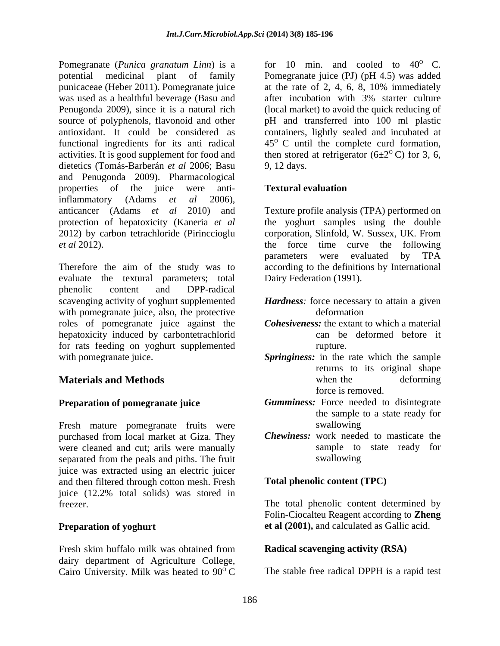Pomegranate (*Punica granatum Linn*) is a potential medicinal plant of family Pomegranate juice (PJ) (pH 4.5) was added punicaceae (Heber 2011). Pomegranate juice at the rate of 2, 4, 6, 8, 10% immediately was used as a healthful beverage (Basu and after incubation with 3% starter culture Penugonda 2009), since it is a natural rich (local market) to avoid the quick reducing of source of polyphenols, flavonoid and other pH and transferred into 100 ml plastic antioxidant. It could be considered as containers, lightly sealed and incubated at functional ingredients for its anti radical  $45^{\circ}$  C until the complete curd formation, activities. It is good supplement for food and then stored at refrigerator  $(6\pm 2^{\circ} \text{C})$  for 3, 6, dietetics (Tomás-Barberán *et al* 2006; Basu and Penugonda 2009). Pharmacological properties of the juice were anti-<br> **Textural evaluation** inflammatory (Adams *et al* 2006), anticancer (Adams *et al* 2010) and protection of hepatoxicity (Kaneria *et al* the yoghurt samples using the double 2012) by carbon tetrachloride (Pirinccioglu corporation, Slinfold, W. Sussex, UK. From *et al* 2012). the force time curve the following

Therefore the aim of the study was to evaluate the textural parameters; total phenolic content and DPP-radical scavenging activity of yoghurt supplemented *Hardness:* force necessary to attain a given with pomegranate juice, also, the protective efformation roles of pomegranate juice against the hepatoxicity induced by carbontetrachlorid can be deformed before it for rats feeding on yoghurt supplemented

Fresh mature pomegranate fruits were swallowing purchased from local market at Giza. They were cleaned and cut; arils were manually sample to separated from the peals and piths. The fruit swallowing separated from the peals and piths. The fruit juice was extracted using an electric juicer and then filtered through cotton mesh. Fresh juice (12.2% total solids) was stored in freezer. The total phenolic content determined by

Fresh skim buffalo milk was obtained from **Radical scavenging activity (RSA)** dairy department of Agriculture College, Cairo University. Milk was heated to  $90^{\circ}$  C

for 10 min. and cooled to  $40^{\circ}$  C. 9, 12 days.

### **Textural evaluation**

Texture profile analysis (TPA) performed on parameters were evaluated by TPA according to the definitions by International Dairy Federation (1991).

- deformation and the state of the state of the state of the state of the state of the state of the state of the state of the state of the state of the state of the state of the state of the state of the state of the state o
- *Cohesiveness:* the extant to which a material can be deformed before it rupture.
- with pomegranate juice. *Springiness:* in the rate which the sample **Materials and Methods Conserversity Conserversity Conserversity Conserversity Conserversity Conserversity Conserversity Conserversity Conserversity Conserversity Conserversity Conserversity Conse** returns to its original shape when the deforming force is removed.
- **Preparation of pomegranate juice Gumminess:** Force needed to disintegrate the sample to a state ready for swallowing
	- *Chewiness:* work needed to masticate the sample to state ready for swallowing

### **Total phenolic content (TPC)**

**Preparation of yoghurt** et al (2001), and calculated as Gallic acid. Folin-Ciocalteu Reagent according to **Zheng** 

### **Radical scavenging activity (RSA)**

The stable free radical DPPH is a rapid test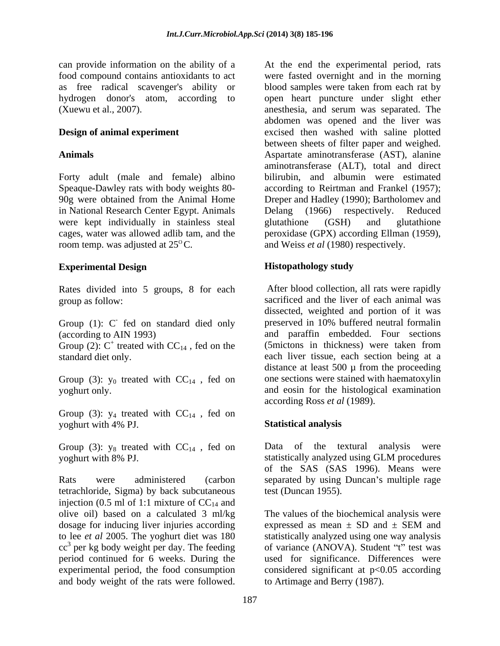can provide information on the ability of a starting and the experimental period, rats

in National Research Center Egypt. Animals Delang (1966) respectively. Reduced were kept individually in stainless steal glutathione (GSH) and glutathione room temp. was adjusted at 25<sup>o</sup>C. and Weiss *et al* (1980) respectively.

## **Experimental Design**

Rates divided into 5 groups, 8 for each

Group (1): C fed on standard died only (according to AIN 1993)

Group (2):  $C^+$  treated with  $CC_{14}$ , fed on the

Group (3):  $y_0$  treated with  $CC_{14}$ , fed on

Group (3):  $y_4$  treated with  $CC_{14}$ , fed on yoghurt with 4% PJ.

Group (3):  $y_8$  treated with  $CC_{14}$ , fed on

Rats were administered (carbon separated by using Duncan's multiple rage tetrachloride, Sigma) by back subcutaneous injection (0.5 ml of 1:1 mixture of  $CC_{14}$  and dosage for inducing liver injuries according expressed as mean  $\pm$  SD and  $\pm$  SEM and  $cc<sup>3</sup>$  per kg body weight per day. The feeding

food compound contains antioxidants to act were fasted overnight and in the morning as free radical scavenger's ability or blood samples were taken from each rat by hydrogen donor's atom, according to open heart puncture under slight ether (Xuewu et al., 2007). anesthesia, and serum was separated. The **Design of animal experiment** excised then washed with saline plotted **Animals** Aspartate aminotransferase (AST), alanine Forty adult (male and female) albino bilirubin, and albumin were estimated Speaque-Dawley rats with body weights 80- according to Reirtman and Frankel (1957); 90g were obtained from the Animal Home Dreper and Hadley (1990); Bartholomev and cages, water was allowed adlib tam, and the peroxidase (GPX) according Ellman (1959), an provide information an the ability of a At the end the experimental period in the anti-scattering the ratio and the ratio and the ratio and the ratio and the ratio and the ratio and the ratio and the matter of the matt abdomen was opened and the liver was between sheets of filter paper and weighed. aminotransferase (ALT), total and direct Delang (1966) respectively. Reduced glutathione (GSH) and glutathione

## **Histopathology study**

group as follow: sacrificed and the liver of each animal was - fed on standard died only preserved in 10% buffered neutral formalin (according to AIN 1993) and paraffin embedded. Four sections  $+$  treated with  $CC_{14}$ , fed on the (5 mictons in thickness) were taken from standard diet only. each liver tissue, each section being at a yoghurt only. and eosin for the histological examination After blood collection, all rats were rapidly dissected, weighted and portion of it was distance at least  $500 \mu$  from the proceeding one sections were stained with haematoxylin according Ross *et al* (1989).

## **Statistical analysis**

yoghurt with 8% PJ. statistically analyzed using GLM procedures Data of the textural analysis were of the SAS (SAS 1996). Means were test (Duncan 1955).

olive oil) based on a calculated 3 ml/kg The values of the biochemical analysis were to lee *et al* 2005. The yoghurt diet was 180 statistically analyzed using one way analysis per kg body weight per day. The feeding of variance (ANOVA). Student "t" test was period continued for 6 weeks. During the used for significance. Differences were experimental period, the food consumption considered significant at p<0.05 according expressed as mean  $\pm$  SD and  $\pm$  SEM and to Artimage and Berry (1987).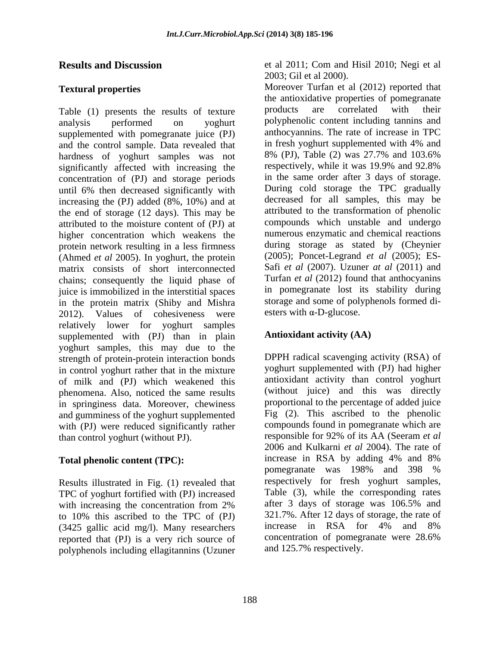supplemented with pomegranate juice (PJ) and the control sample. Data revealed that in fresh yoghurt supplemented with 4% and<br>hardness of voghurt samples was not 8% (PJ), Table (2) was 27.7% and 103.6% hardness of yoghurt samples was not significantly affected with increasing the concentration of (PJ) and storage periods until 6% then decreased significantly with increasing the (PJ) added (8%, 10%) and at the end of storage (12 days). This may be attributed to the moisture content of (PJ) at higher concentration which weakens the protein network resulting in a less firmness (Ahmed *et al* 2005). In yoghurt, the protein matrix consists of short interconnected chains; consequently the liquid phase of juice is immobilized in the interstitial spaces in the protein matrix (Shiby and Mishra storage and some of poly<br>
2012) Values of cohesiveness were esters with  $\alpha$ -D-glucose. 2012). Values of cohesiveness were relatively lower for yoghurt samples supplemented with (PJ) than in plain yoghurt samples, this may due to the strength of protein-protein interaction bonds in control yoghurt rather that in the mixture of milk and (PJ) which weakened this phenomena. Also, noticed the same results in springiness data. Moreover, chewiness and gumminess of the yoghurt supplemented with (PJ) were reduced significantly rather compounds found in pomegranate which are<br>than control vogburt (without PI) responsible for 92% of its AA (Seeram *et al*) than control yoghurt (without PJ).

Results illustrated in Fig. (1) revealed that TPC of yoghurt fortified with (PJ) increased<br>with increasing the concentration from 2% after 3 days of storage was 106.5% and to 10% this ascribed to the TPC of  $(PJ)$  321.7%. After 12 days of storage, the rate of  $(3425 \text{ gallic acid mol})$  Many researchers increase in RSA for 4% and 8% (3425 gallic acid mg/l). Many researchers reported that (PJ) is a very rich source of polyphenols including ellagitannins (Uzuner

**Results and Discussion** et al 2011; Com and Hisil 2010; Negi et al 2003; Gil et al 2000).

**Textural properties** Moreover Turfan et al (2012) reported that Table (1) presents the results of texture products are correlated with their analysis performed on yoghurt polyphenolic content including tannins and the antioxidative properties of pomegranate products are correlated with their anthocyannins. The rate of increase in TPC in fresh yoghurt supplemented with 4% and 8% (PJ), Table (2) was 27.7% and 103.6% respectively, while it was 19.9% and 92.8% in the same order after 3 days of storage. During cold storage the TPC gradually decreased for all samples, this may be attributed to the transformation of phenolic compounds which unstable and undergo numerous enzymatic and chemical reactions during storage as stated by (Cheynier (2005); Poncet-Legrand *et al* (2005); ES- Safi *et al* (2007). Uzuner *at al* (2011) and Turfan *et al* (2012) found that anthocyanins in pomegranate lost its stability during storage and some of polyphenols formed di esters with  $\alpha$ -D-glucose.

# **Antioxidant activity (AA)**

**Total phenolic content (TPC):**  $\frac{1}{2}$  increase in RSA by adding 4% and 8% pomegranate was 198% and 398 % with increasing the concentration from 2% after 3 days of storage was 106.5% and DPPH radical scavenging activity (RSA) of yoghurt supplemented with (PJ) had higher antioxidant activity than control yoghurt (without juice) and this was directly proportional to the percentage of added juice Fig (2). This ascribed to the phenolic compounds found in pomegranate which are responsible for 92% of its AA (Seeram *et al* 2006 and Kulkarni *et al* 2004). The rate of increase in RSA by adding 4% and 8% pomegranate was 198% and 398 % respectively for fresh yoghurt samples, Table (3), while the corresponding rates after 3 days of storage was 106.5% and 321.7%. After 12 days of storage, the rate of increase in RSA for 4% and 8% concentration of pomegranate were 28.6% and 125.7% respectively.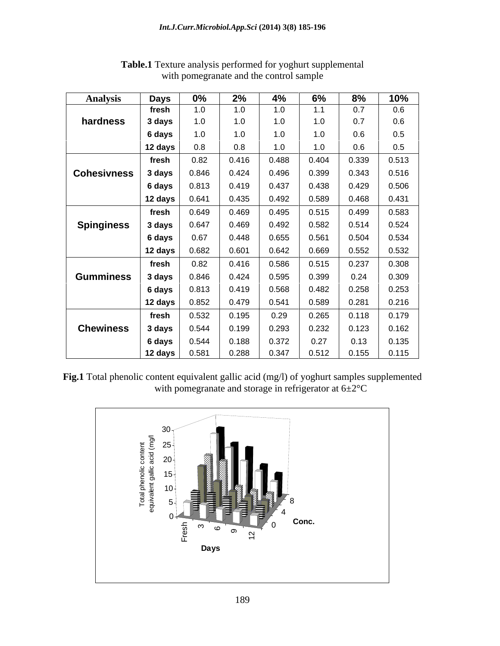| Analvsis          | Days                    | $0\%$                         | 2%    | 4%    | 6%    | 8%                                                                                 | 10%           |
|-------------------|-------------------------|-------------------------------|-------|-------|-------|------------------------------------------------------------------------------------|---------------|
|                   | fresh                   | 1.0                           | 1.0   | 1.0   | 1.1   | 0.7                                                                                | 0.6           |
| hardness          | 3 days                  | 1.0                           | 1.0   | 1.0   | 1.0   | 0.7                                                                                |               |
|                   | 6 days                  | 1.0                           | 1.0   | 1.0   | 1.0   | 0.6                                                                                | 0.5           |
|                   | 12 days                 | 0.8                           | 0.8   | 1.0   | 1.0   |                                                                                    | 0.5           |
|                   |                         |                               |       |       |       |                                                                                    |               |
|                   | fresh                   | 0.82                          | 0.416 | 0.488 | 0.404 | 0.339                                                                              | 0.513         |
| Cohesivness       | 3 days                  | 0.846                         | 0.424 | 0.496 | 0.399 | 0.343                                                                              | 0.516         |
|                   | 6 days                  | 0.813                         | 0.419 | 0.437 | 0.438 | 0.429                                                                              | 0.506         |
|                   | 12 days $ $             | 0.641                         | 0.435 | 0.492 | 0.589 | 0.468                                                                              | 0.431         |
|                   | fresh                   | 0.649                         | 0.469 | 0.495 | 0.515 | 0.499                                                                              | 0.583         |
|                   | 3 days                  | 0.647                         | 0.469 | 0.492 | 0.582 | 0.514                                                                              | 0.524         |
| <b>Spinginess</b> |                         |                               |       |       |       |                                                                                    |               |
|                   | 6 days                  | 0.67                          | 0.448 | 0.655 | 0.561 | 0.504                                                                              | 0.534         |
|                   | 12 days $ $             | 0.682                         | 0.601 | 0.642 | 0.669 | 0.552                                                                              | 0.532         |
|                   | fresh                   | 0.82                          | 0.416 | 0.586 | 0.515 | 0.237                                                                              | 0.308         |
| <b>Gumminess</b>  | 3 days                  | 0.846                         | 0.424 | 0.595 | 0.399 | 0.24                                                                               | 0.309         |
|                   | 6 days                  | 0.813                         | 0.419 | 0.568 | 0.482 | 0.258                                                                              | 0.253         |
|                   |                         |                               |       |       |       |                                                                                    |               |
|                   |                         | 12 days $\Big $ 0.852 $\Big $ | 0.479 | 0.541 | 0.589 | 0.281                                                                              | 0.216         |
|                   | fresh                   | 0.532                         | 0.195 | 0.29  | 0.265 | $0.118$ 0.179                                                                      |               |
| <b>Chewiness</b>  | 3 days                  | 0.544                         | 0.199 | 0.293 | 0.232 | $\begin{array}{ c c c c c } \hline \text{0.123} & \text{0.162} \hline \end{array}$ |               |
|                   | 6 days                  | 0.544                         | 0.188 | 0.372 | 0.27  | 0.13                                                                               | $\vert$ 0.135 |
|                   | $12 \text{ days}$ 0.581 |                               | 0.288 | 0.347 |       | $0.512$ $0.155$ $0.115$                                                            |               |

**Table.1** Texture analysis performed for yoghurt supplemental with pomegranate and the control sample

Fig.1 Total phenolic content equivalent gallic acid (mg/l) of yoghurt samples supplemented with pomegranate and storage in refrigerator at  $6\pm2^{\circ}$ C

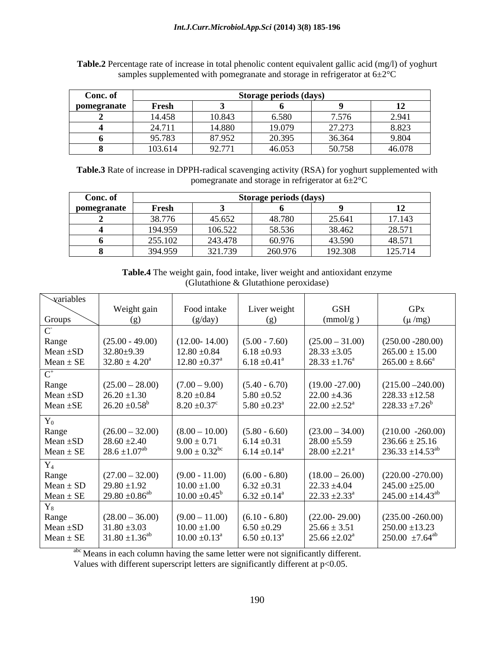| Conc. of    | <b>Storage periods (days)</b> |        |        |                 |        |  |  |
|-------------|-------------------------------|--------|--------|-----------------|--------|--|--|
| pomegranate | Fresh                         |        |        |                 |        |  |  |
|             | 14.458                        | 10.843 | 6.580  | 7.576           | 2.941  |  |  |
|             | 24.711                        | 14.880 | 19.079 | 27 273<br>21.21 | 8.823  |  |  |
|             | 95.783                        | 87.952 | 20.395 | 36.364          | 9.804  |  |  |
|             | 103.614                       | 92.771 | 46.053 | 50.758          | 46.078 |  |  |

**Table.2** Percentage rate of increase in total phenolic content equivalent gallic acid (mg/l) of yoghurt samples supplemented with pomegranate and storage in refrigerator at  $6\pm2\degree C$ 

**Table.3** Rate of increase in DPPH-radical scavenging activity (RSA) for yoghurt supplemented with pomegranate and storage in refrigerator at 6±2°C

| Conc. of    | Storage periods (days) |                |         |                   |                                               |
|-------------|------------------------|----------------|---------|-------------------|-----------------------------------------------|
| pomegranate | Fresh                  |                |         |                   | ┸                                             |
|             | 20.77<br>,,,,,         | 45652<br>1.032 | 48.780  | 25.641            | 17.143                                        |
|             | 194.959                | 106.522        | 58.536  | 38.462            | 28571<br>20.311                               |
|             | 255.102                | 243.478        | 60.976  | 43.590            | 48.571                                        |
|             | 394.959                | 321.739        | 260.976 | 102.200<br>12.308 | $\sim$ $\sim$ $\sim$ $\sim$ $\sim$<br>125.714 |

**Table.4** The weight gain, food intake, liver weight and antioxidant enzyme (Glutathione & Glutathione peroxidase)

| variables              |                                |                               |                              |                               |                               |
|------------------------|--------------------------------|-------------------------------|------------------------------|-------------------------------|-------------------------------|
|                        | Weight gain                    | Food intake                   | Liver weight                 | <b>GSH</b>                    | <b>GPx</b>                    |
| Groups                 | $(\mathfrak{g})$               | (g/day)                       | (g)                          | (mmol/g)                      | $(\mu/mg)$                    |
|                        |                                |                               |                              |                               |                               |
| Range                  | $(25.00 - 49.00)$              | $(12.00 - 14.00)$             | $(5.00 - 7.60)$              | $(25.00 - 31.00)$             | $(250.00 - 280.00)$           |
| Mean $\pm$ SC          | $32.80 \pm 9.39$               | $12.80 \pm 0.84$              | $6.18 \pm 0.93$              | $28.33 \pm 3.05$              | $265.00 \pm 15.00$            |
| $Mean \pm SE$          | $32.80 \pm 4.20^a$             | $12.80 \pm 0.37^{\text{a}}$   | $6.18 \pm 0.41$              | $28.33 \pm 1.76^a$            | $265.00 \pm 8.66^a$           |
| $\cap$ <sup>+</sup>    |                                |                               |                              |                               |                               |
| Range                  | $(25.00 - 28.00)$              | $(7.00 - 9.00)$               | $(5.40 - 6.70)$              | $(19.00 - 27.00)$             | $(215.00 - 240.00)$           |
| Mean ±SD               | $26.20 \pm 1.30$               | $8.20 \pm 0.84$               | $5.80 \pm 0.52$              | $22.00 \pm 4.36$              | $228.33 \pm 12.58$            |
| Mean $\pm$ SE          | $26.20 \pm 0.58^b$             | $8.20 \pm 0.37$ <sup>c</sup>  | $5.80 \pm 0.23^{\circ}$      | $22.00 \pm 2.52^{\text{a}}$   | $228.33 \pm 7.26^b$           |
|                        |                                |                               |                              |                               |                               |
| $\mathbf{Y}_{0}$       | $(26.00 - 32.00)$              | $(8.00 - 10.00)$              | $(5.80 - 6.60)$              | $(23.00 - 34.00)$             | $(210.00 - 260.00)$           |
| Range<br>Mean $\pm$ SC | $28.60 \pm 2.40$               | $9.00 \pm 0.71$               | $6.14 \pm 0.31$              | $28.00 \pm 5.59$              | $236.66 \pm 25.16$            |
| $Mean \pm SE$          | $28.6 \pm 1.07$ <sup>ab</sup>  | $9.00 \pm 0.32$ <sup>bc</sup> | 6.14 $\pm$ 0.14 <sup>a</sup> | $28.00 \pm 2.21$ <sup>a</sup> | $236.33 \pm 14.53^{ab}$       |
|                        |                                |                               |                              |                               |                               |
| $\mathbf{r}_4$         |                                |                               |                              |                               |                               |
| Range                  | $(27.00 - 32.00)$              | $(9.00 - 11.00)$              | $(6.00 - 6.80)$              | $(18.00 - 26.00)$             | $(220.00 - 270.00)$           |
| $Mean \pm SD$          | $29.80 \pm 1.92$               | $10.00 \pm 1.00$              | $6.32 \pm 0.31$              | $22.33 \pm 4.04$              | $245.00 \pm 25.00$            |
| $Mean \pm SE$          | $29.80 \pm 0.86$ <sup>ab</sup> | $10.00 \pm 0.45^{\circ}$      | $6.32 \pm 0.14^{\circ}$      | $22.33 \pm 2.33^{\circ}$      | $245.00 \pm 14.43^{ab}$       |
| $^{\prime}$ 8          |                                |                               |                              |                               |                               |
| Range                  | $(28.00 - 36.00)$              | $(9.00 - 11.00)$              | $(6.10 - 6.80)$              | $(22.00 - 29.00)$             | $(235.00 - 260.00)$           |
| Mean $\pm$ SI          | $31.80 \pm 3.03$               | $10.00 \pm 1.00$              | $6.50 \pm 0.29$              | $25.66 \pm 3.51$              | $250.00 \pm 13.23$            |
| Mean $\pm$ SE          | $31.80 \pm 1.36$ <sup>ab</sup> | $10.00 \pm 0.13^{\text{a}}$   | $6.50 \pm 0.13$              | $25.66 \pm 2.02^{\text{a}}$   | $250.00 \pm 7.64^{\text{ab}}$ |

abc Means in each column having the same letter were not significantly different.

Values with different superscript letters are significantly different at p<0.05.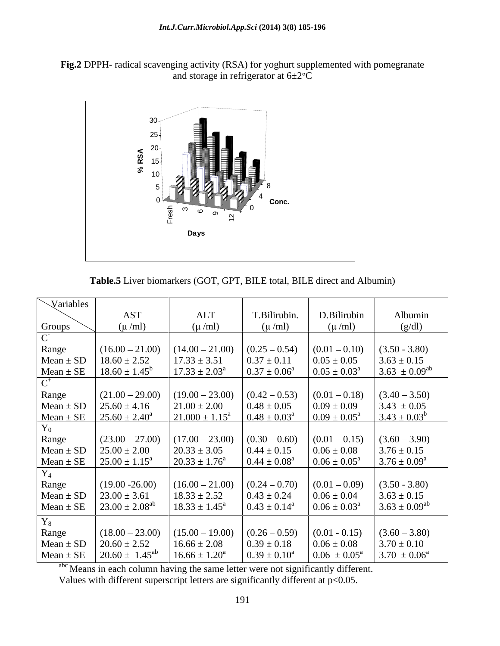



**Table.5** Liver biomarkers (GOT, GPT, BILE total, BILE direct and Albumin)

| Variables           |                          |                           |                            |                            |                            |
|---------------------|--------------------------|---------------------------|----------------------------|----------------------------|----------------------------|
|                     | <b>AST</b>               | <b>ALT</b>                | T.Bilirubin.               | D.Bilirubin                | Albumin                    |
| Groups              | $(\mu/ml)$               | $(\mu/ml)$                | $(\mu/ml)$                 | $(\mu/ml)$                 | (g/dl)                     |
| $\sim$              |                          |                           |                            |                            |                            |
| Range               | $(16.00 - 21.00)$        | $(14.00 - 21.00)$         | $(0.25 - 0.54)$            | $(0.01 - 0.10)$            | $(3.50 - 3.80)$            |
| $Mean \pm SD$       | $18.60 \pm 2.52$         | $17.33 \pm 3.51$          | $0.37 \pm 0.11$            | $0.05 \pm 0.05$            | $3.63 \pm 0.15$            |
| $Mean \pm SE$       | $18.60 \pm 1.45^{\circ}$ | $17.33 \pm 2.03^{\circ}$  | $0.37 \pm 0.06^{\circ}$    | $0.05 \pm 0.03^{\text{a}}$ | $3.63 \pm 0.09^{ab}$       |
| $\cap$ <sup>+</sup> |                          |                           |                            |                            |                            |
| Range               | $(21.00 - 29.00)$        | $(19.00 - 23.00)$         | $(0.42 - 0.53)$            | $(0.01 - 0.18)$            | $(3.40 - 3.50)$            |
| $Mean \pm SD$       | $25.60 \pm 4.16$         | $21.00 \pm 2.00$          | $0.48 \pm 0.05$            | $0.09 \pm 0.09$            | $3.43 \pm 0.05$            |
| $Mean \pm SE$       | $25.60 \pm 2.40^a$       | $21.000 \pm 1.15^{\circ}$ | $0.48 \pm 0.03^{\text{a}}$ | $0.09 \pm 0.05^{\text{a}}$ | $3.43 \pm 0.03^b$          |
| ${\rm Y}_0$         |                          |                           |                            |                            |                            |
| Range               | $(23.00 - 27.00)$        | $(17.00 - 23.00)$         | $(0.30 - 0.60)$            | $(0.01 - 0.15)$            | $(3.60 - 3.90)$            |
| $Mean \pm SD$       | $25.00 \pm 2.00$         | $20.33 \pm 3.05$          | $0.44 \pm 0.15$            | $0.06 \pm 0.08$            | $3.76 \pm 0.15$            |
| $Mean \pm SE$       | $25.00 \pm 1.15^a$       | $20.33 \pm 1.76^{\circ}$  | $0.44 \pm 0.08^a$          | $0.06 \pm 0.05^{\text{a}}$ | $3.76 \pm 0.09^{\text{a}}$ |
| ${\rm Y_4}$         |                          |                           |                            |                            |                            |
| Range               | $(19.00 - 26.00)$        | $(16.00 - 21.00)$         | $(0.24 - 0.70)$            | $(0.01 - 0.09)$            | $(3.50 - 3.80)$            |
| $Mean \pm SD$       | $23.00 \pm 3.61$         | $18.33 \pm 2.52$          | $0.43 \pm 0.24$            | $0.06 \pm 0.04$            | $3.63 \pm 0.15$            |
| $Mean \pm SE$       | $23.00 \pm 2.08^{ab}$    | $18.33 \pm 1.45^{\circ}$  | $0.43 \pm 0.14^a$          | $0.06 \pm 0.03^{\text{a}}$ | $3.63 \pm 0.09^{ab}$       |
| ${\rm Y}_8$         |                          |                           |                            |                            |                            |
| Range               | $(18.00 - 23.00)$        | $(15.00 - 19.00)$         | $(0.26 - 0.59)$            | $(0.01 - 0.15)$            | $(3.60 - 3.80)$            |
| $Mean \pm SD$       | $20.60 \pm 2.52$         | $16.66 \pm 2.08$          | $0.39 \pm 0.18$            | $0.06 \pm 0.08$            | $3.70 \pm 0.10$            |
| $Mean \pm SE$       | $20.60 \pm 1.45^{ab}$    | $16.66 \pm 1.20^a$        | $0.39 \pm 0.10^a$          | $0.06 \pm 0.05^{\circ}$    | $3.70 \pm 0.06^{\circ}$    |

abc Means in each column having the same letter were not significantly different.

Values with different superscript letters are significantly different at  $p<0.05$ .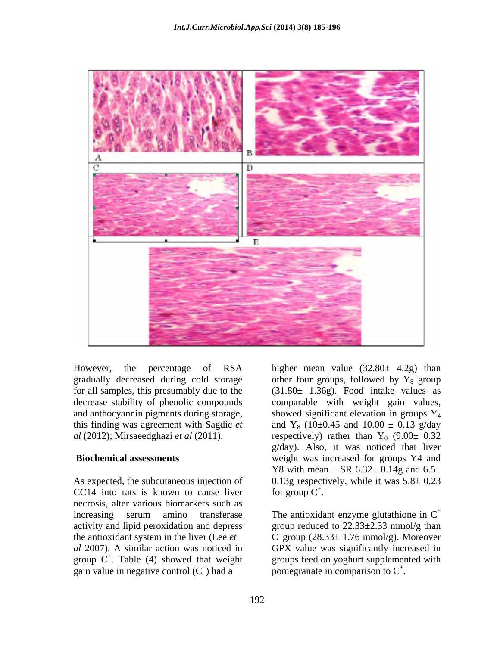

However, the percentage of RSA higher mean value (32.80± 4.2g) than gradually decreased during cold storage

As expected, the subcutaneous injection of CC14 into rats is known to cause liver for group  $C^+$ . necrosis, alter various biomarkers such as increasing serum amino transferase The antioxidant enzyme glutathione in  $C^+$ activity and lipid peroxidation and depress group reduced to  $22.33\pm 2.33$  mmol/g than group  $C^+$ . Table (4) showed that weight gain value in negative control  $(C)$  had a

for all samples, this presumably due to the (31.80± 1.36g). Food intake values as decrease stability of phenolic compounds comparable with weight gain values, and anthocyannin pigments during storage, showed significant elevation in groups Y<sub>4</sub> this finding was agreement with Sagdic  $et$  and Y<sub>8</sub> (10±0.45 and 10.00  $\pm$  0.13 g/day  $al$  (2012); Mirsaeedghazi *et al* (2011). respectively) rather than  $Y_0$  (9.00 $\pm$  0.32 **Biochemical assessments** weight was increased for groups Y4 and other four groups, followed by  $Y_8$  group g/day). Also, it was noticed that liver Y8 with mean  $\pm$  SR 6.32 $\pm$  0.14g and 6.5 $\pm$ 0.13g respectively, while it was  $5.8 \pm 0.23$ for group  $C^+$ .

the antioxidant system in the liver (Lee *et*  $\qquad \qquad$  C' group (28.33 $\pm$  1.76 mmol/g). Moreover *al* 2007). A similar action was noticed in GPX value was significantly increased in <sup>+</sup>. Table (4) showed that weight groups feed on yoghurt supplemented with ) had a pomegranate in comparison to  $C^+$ . for group C<sup>+</sup>.<br>The antioxidant enzyme glutathione in C<sup>+</sup> The antioxidant enzyme glutathione in  $C^+$ <br>group reduced to 22.33±2.33 mmol/g than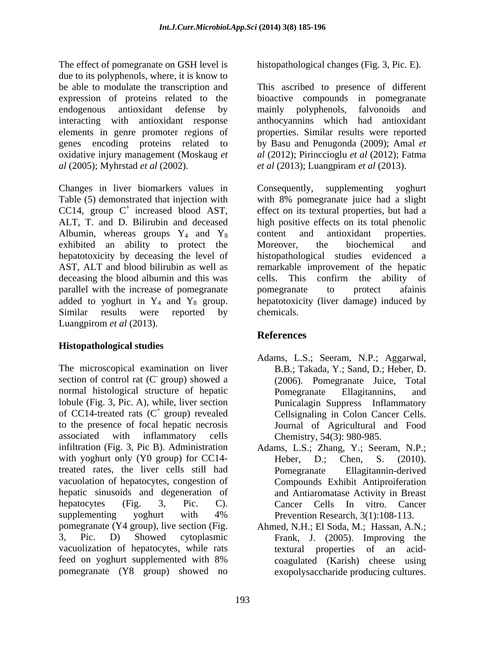The effect of pomegranate on GSH level is due to its polyphenols, where, it is know to be able to modulate the transcription and This ascribed to presence of different expression of proteins related to the bioactive compounds in pomegranate endogenous antioxidant defense by interacting with antioxidant response anthocyannins which had antioxidant elements in genre promoter regions of properties. Similar results were reported genes encoding proteins related to by Basu and Penugonda (2009); Amal *et*  oxidative injury management (Moskaug *et al* (2005); Myhrstad *et al* (2002). *et al* (2013); Luangpiram *et al* (2013).

Changes in liver biomarkers values in Consequently, supplementing yoghurt Table (5) demonstrated that injection with with 8% pomegranate juice had a slight CC14, group  $C^+$  increased blood AST, Albumin, whereas groups  $Y_4$  and  $Y_8$  content and antioxidant properties. exhibited an ability to protect the Moreover, the biochemical and deceasing the blood albumin and this was eells. This confirm the ability of parallel with the increase of pomegranate pomegranate to protect afainis Luangpirom *et al* (2013).

## **Histopathological studies**

The microscopical examination on liver section of control rat (C group) showed a normal histological structure of hepatic Pomegranate Ellagitannins, and lobule (Fig. 3, Pic. A), while, liver section of CC14-treated rats  $(C^+$  group) revealed to the presence of focal hepatic necrosis associated with inflammatory cells Chemistry, 54(3): 980-985. infiltration (Fig. 3, Pic B). Administration Adams, L.S.; Zhang, Y.; Seeram, N.P.; with yoghurt only (Y0 group) for CC14-<br>Heber, D.: Chen, S. (2010). treated rates, the liver cells still had vacuolation of hepatocytes, congestion of hepatic sinusoids and degeneration of and Antiaromatase Activity in Breast hepatocytes (Fig. 3, Pic. C). Cancer Cells In vitro. Cancer supplementing yoghurt with 4% Prevention Research, 3(1):108-113. pomegranate (Y4 group), live section (Fig. Ahmed, N.H.; El Soda, M.; Hassan, A.N.; 3, Pic. D) Showed cytoplasmic Frank, J. (2005). Improving the vacuolization of hepatocytes, while rats feed on yoghurt supplemented with 8% pomegranate (Y8 group) showed no

histopathological changes (Fig. 3, Pic. E).

bioactive compounds in pomegranate mainly polyphenols, falvonoids and *al* (2012); Pirinccioglu *et al* (2012); Fatma

+ increased blood AST, effect on its textural properties, but had a ALT, T. and D. Bilirubin and deceased high positive effects on its total phenolic hepatotoxicity by deceasing the level of histopathological studies evidenced a AST, ALT and blood bilirubin as well as remarkable improvement of the hepatic added to yoghurt in  $Y_4$  and  $Y_8$  group. hepatotoxicity (liver damage) induced by Similar results were reported by chemicals. Consequently, supplementing yoghurt with 8% pomegranate juice had a slight content and antioxidant properties. Moreover, the biochemical and cells. This confirm the ability of pomegranate to protect afainis chemicals.

# **References**

- group) showed a (2006). Pomegranate Juice, Total + group) revealed Cellsignaling in Colon Cancer Cells. Adams, L.S.; Seeram, N.P.; Aggarwal, B.B.; Takada, Y.; Sand, D.; Heber, D. Pomegranate Ellagitannins, and Punicalagin Suppress Inflammatory Journal of Agricultural and Food Chemistry, 54(3): 980-985.
	- Heber, D.; Chen, S. (2010). Pomegranate Ellagitannin-derived Compounds Exhibit Antiproiferation Cancer Cells In vitro. Cancer Prevention Research, 3(1):108-113.
	- textural properties of an acid coagulated (Karish) cheese using exopolysaccharide producing cultures.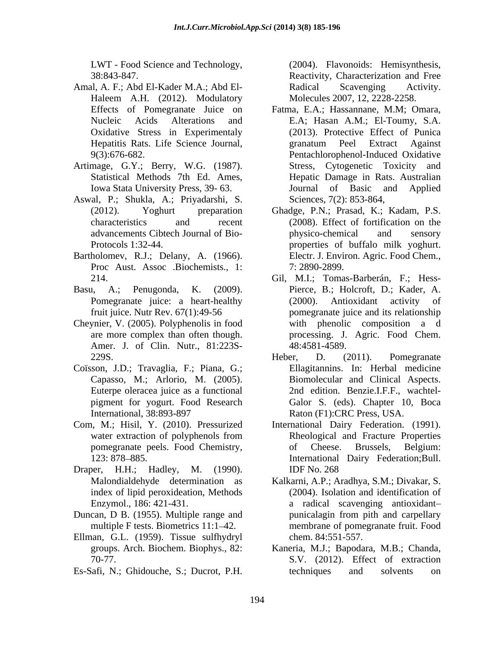LWT - Food Science and Technology,

- Amal, A. F.; Abd El-Kader M.A.; Abd El- Haleem A.H. (2012). Modulatory Molecules 2007, 12, 2228-2258.
- Artimage, G.Y.; Berry, W.G. (1987).
- Aswal, P.; Shukla, A.; Priyadarshi, S.
- Bartholomev, R.J.; Delany, A. (1966). Proc Aust. Assoc .Biochemists., 1: 7: 2890-2899.
- 
- Cheynier, V. (2005). Polyphenolis in food Amer. J. of Clin. Nutr., 81:223S-
- Coïsson, J.D.; Travaglia, F.; Piana, G.;
- Com, M.; Hisil, Y. (2010). Pressurized
- Draper, H.H.; Hadley, M. (1990).
- Duncan, D B. (1955). Multiple range and punicalagin from pith and carpellary
- Ellman, G.L. (1959). Tissue sulfhydryl
- Es-Safi, N.; Ghidouche, S.; Ducrot, P.H.

38:843-847. Reactivity, Characterization and Free (2004). Flavonoids: Hemisynthesis, Radical Scavenging Activity. Molecules 2007, 12, 2228-2258.

- Effects of Pomegranate Juice on Fatma, E.A.; Hassannane, M.M; Omara, Nucleic Acids Alterations and E.A; Hasan A.M.; El-Toumy, S.A. Oxidative Stress in Experimentaly (2013). Protective Effect of Punica Hepatitis Rats. Life Science Journal, Francum Peel Extract Against 9(3):676-682. Pentachlorophenol-Induced Oxidative Statistical Methods 7th Ed. Ames, Hepatic Damage in Rats. Australian Iowa Stata University Press, 39- 63. Journal of Basic and Applied granatum Peel Extract Against Stress, Cytogenetic Toxicity and Sciences, 7(2): 853-864,
- (2012). Yoghurt preparation Ghadge, P.N.; Prasad, K.; Kadam, P.S. characteristics and recent (2008). Effect of fortification on the advancements Cibtech Journal of Bio- Protocols 1:32-44. properties of buffalo milk yoghurt. physico-chemical and sensory Electr. J. Environ. Agric. Food Chem., 7: 2890-2899.
- 214. Gil, M.I.; Tomas-Barberán, F.; Hess- Basu, A.; Penugonda, K. (2009). Pierce, B.; Holcroft, D.; Kader, A. Pomegranate juice: a heart-healthy (2000). Antioxidant activity of fruit juice. Nutr Rev. 67(1):49-56 pomegranate juice and its relationship are more complex than often though. processing. J. Agric. Food Chem.  $(2000)$ . Antioxidant activity with phenolic composition a d 48:4581-4589.
	- 229S. Heber, D. (2011). Pomegranate Capasso, M.; Arlorio, M. (2005). Biomolecular and Clinical Aspects. Euterpe oleracea juice as a functional 2nd edition. Benzie.I.F.F., wachtel pigment for yogurt. Food Research Galor S. (eds). Chapter 10, Boca International, 38:893-897 Raton (F1):CRC Press, USA. Heber, D. (2011). Pomegranate Ellagitannins. In: Herbal medicine
	- water extraction of polyphenols from **Rheological and Fracture Properties** pomegranate peels. Food Chemistry, 123: 878 885. International Dairy Federation;Bull. International Dairy Federation. (1991). Rheological and Fracture Properties of Cheese. Brussels, Belgium: IDF No. 268
	- Malondialdehyde determination as Kalkarni, A.P.; Aradhya, S.M.; Divakar, S. index of lipid peroxideation, Methods (2004). Isolation and identification of Enzymol., 186: 421-431. a radical scavenging antioxidant multiple F tests. Biometrics 11:1–42. membrane of pomegranate fruit. Food punicalagin from pith and carpellary chem. 84:551-557.
	- groups. Arch. Biochem. Biophys., 82: Kaneria, M.J.; Bapodara, M.B.; Chanda, 70-77. S.V. (2012). Effect of extraction techniques and solvents on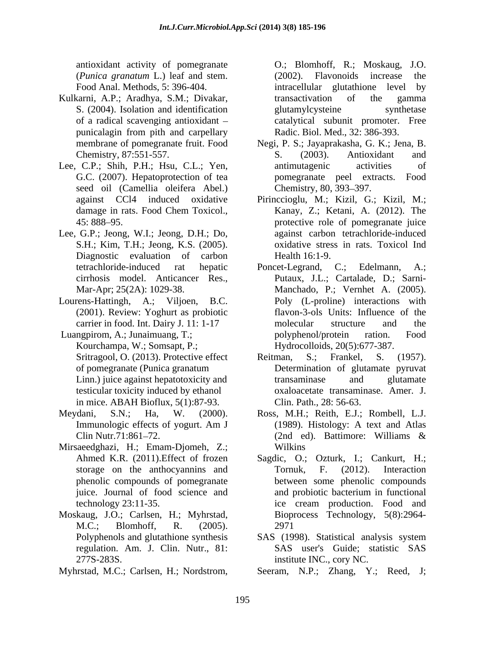antioxidant activity of pomegranate O.; Blomhoff, R.; Moskaug, J.O. (*Punica granatum* L.) leaf and stem.

- Kulkarni, A.P.; Aradhya, S.M.; Divakar, transactivation of the gamma S. (2004). Isolation and identification elutamylcysteine synthetase
- Lee, C.P.; Shih, P.H.; Hsu, C.L.; Yen, antimutagenic activities of seed oil (Camellia oleifera Abel.) Chemistry, 80, 393–397.
- Lee, G.P.; Jeong, W.I.; Jeong, D.H.; Do, S.H.; Kim, T.H.; Jeong, K.S. (2005). Diagnostic evaluation of carbon Health 16:1-9.
- (2001). Review: Yoghurt as probiotic
- in mice. ABAH Bioflux, 5(1):87-93.
- 
- Mirsaeedghazi, H.; Emam-Djomeh, Z.;
- Moskaug, J.O.; Carlsen, H.; Myhrstad, Biopr<br>M.C.: Blomhoff. R. (2005). 2971 regulation. Am. J. Clin. Nutr., 81:
- 

Food Anal. Methods, 5: 396-404. intracellular glutathione level by of a radical scavenging antioxidant – catalytical subunit promoter. Free punicalagin from pith and carpellary Radic. Biol. Med., 32: 386-393. transactivation of the gamma glutamylcysteine synthetase Radic. Biol. Med., 32: 386-393.

- membrane of pomegranate fruit. Food Negi, P. S.; Jayaprakasha, G. K.; Jena, B. Chemistry, 87:551-557. S. (2003). Antioxidant and G.C. (2007). Hepatoprotection of tea pomegranate peel extracts. Food S. (2003). Antioxidant and antimutagenic activities of pomegranate peel extracts. Chemistry, 80, 393–397.
- against CCl4 induced oxidative Pirinccioglu, M.; Kizil, G.; Kizil, M.; damage in rats. Food Chem Toxicol., Kanay, Z.; Ketani, A. (2012). The 45: 888 95. protective role of pomegranate juice against carbon tetrachloride-induced oxidative stress in rats. Toxicol Ind Health 16:1-9.
- tetrachloride-induced rat hepatic cirrhosis model. Anticancer Res., Putaux, J.L.; Cartalade,D.; Sarni- Mar-Apr; 25(2A): 1029-38. Manchado, P.; Vernhet A. (2005). Lourens-Hattingh, A.; Viljoen, B.C. Poly (L-proline) interactions with carrier in food. Int. Dairy J. 11: 1-17 molecular structure and the Luangpirom, A.; Junaimuang, T.; by polyphenol/protein ration. Food Kourchampa, W.; Somsapt, P.; Hydrocolloids, 20(5):677-387. since the column of the material of the state of the bread and Mathols is the state increase the Fourier M.; Nordstrom, O.; Blomhoff, R.; Moskaug, J.O. (2002). The material of a particular policies with the material of a m Poncet-Legrand, C.; Edelmann, A.; flavon-3-ols Units: Influence of the molecular structure and the polyphenol/protein ration. Food
	- Sritragool, O. (2013). Protective effect Reitman, S.; Frankel, S. (1957). of pomegranate (Punica granatum Determination of glutamate pyruvat Linn.) juice against hepatotoxicity and the transaminase and glutamate testicular toxicity induced by ethanol oxaloacetate transaminase. Amer. J. Reitman, S.; Frankel, S. (1957). transaminase and glutamate Clin. Path., 28: 56-63.
- Meydani, S.N.; Ha, W. (2000). Ross, M.H.; Reith, E.J.; Rombell, L.J. Immunologic effects of yogurt. Am J (1989). Histology: A text and Atlas Clin Nutr.71:861–72. (2nd ed). Battimore: Williams & (1989). Histology: A text and Atlas (2nd ed). Battimore: Williams & Wilkins **Wilkins** 
	- Ahmed K.R. (2011).Effect of frozen Sagdic, O.; Ozturk, I.; Cankurt, H.; storage on the anthocyannins and Tornuk, F. (2012). Interaction phenolic compounds of pomegranate between some phenolic compounds juice. Journal of food science and technology 23:11-35. ice cream production. Food and Tornuk, F. (2012). Interaction and probiotic bacterium in functional ice cream production. Food and Bioprocess Technology, 5(8):2964- 2971
	- Polyphenols and glutathione synthesis SAS (1998). Statistical analysis system 277S-283S. institute INC., cory NC. SAS user's Guide; statistic SAS
		- Seeram, N.P.; Zhang, Y.; Reed, J.;